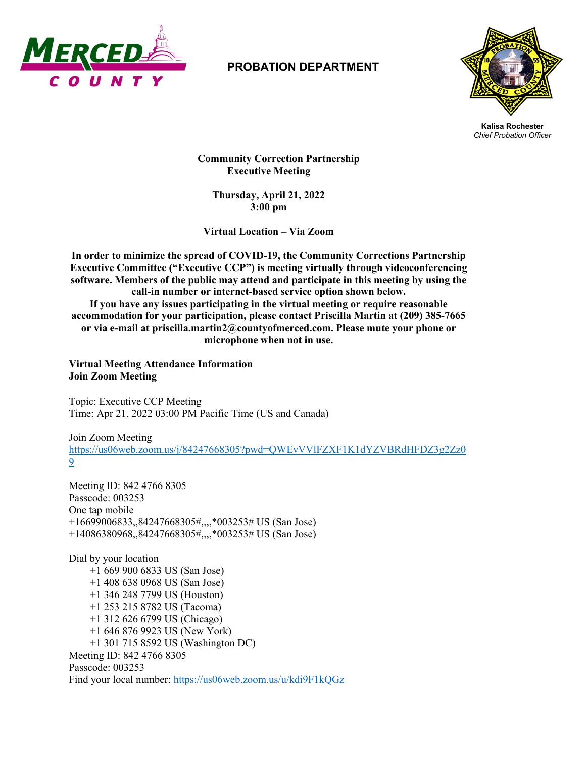

## **PROBATION DEPARTMENT**



**Kalisa Rochester** *Chief Probation Officer*

 **Community Correction Partnership Executive Meeting**

**Thursday, April 21, 2022 3:00 pm**

**Virtual Location – Via Zoom**

**In order to minimize the spread of COVID-19, the Community Corrections Partnership Executive Committee ("Executive CCP") is meeting virtually through videoconferencing software. Members of the public may attend and participate in this meeting by using the call-in number or internet-based service option shown below. If you have any issues participating in the virtual meeting or require reasonable accommodation for your participation, please contact Priscilla Martin at (209) 385-7665 or via e-mail at priscilla.martin2@countyofmerced.com. Please mute your phone or microphone when not in use.**

**Virtual Meeting Attendance Information Join Zoom Meeting**

Topic: Executive CCP Meeting Time: Apr 21, 2022 03:00 PM Pacific Time (US and Canada)

Join Zoom Meeting [https://us06web.zoom.us/j/84247668305?pwd=QWEvVVlFZXF1K1dYZVBRdHFDZ3g2Zz0](https://us06web.zoom.us/j/84247668305?pwd=QWEvVVlFZXF1K1dYZVBRdHFDZ3g2Zz09) [9](https://us06web.zoom.us/j/84247668305?pwd=QWEvVVlFZXF1K1dYZVBRdHFDZ3g2Zz09)

Meeting ID: 842 4766 8305 Passcode: 003253 One tap mobile +16699006833,,84247668305#,,,,\*003253# US (San Jose) +14086380968,,84247668305#,,,,\*003253# US (San Jose)

Dial by your location +1 669 900 6833 US (San Jose) +1 408 638 0968 US (San Jose) +1 346 248 7799 US (Houston) +1 253 215 8782 US (Tacoma) +1 312 626 6799 US (Chicago) +1 646 876 9923 US (New York) +1 301 715 8592 US (Washington DC) Meeting ID: 842 4766 8305 Passcode: 003253 Find your local number:<https://us06web.zoom.us/u/kdi9F1kQGz>